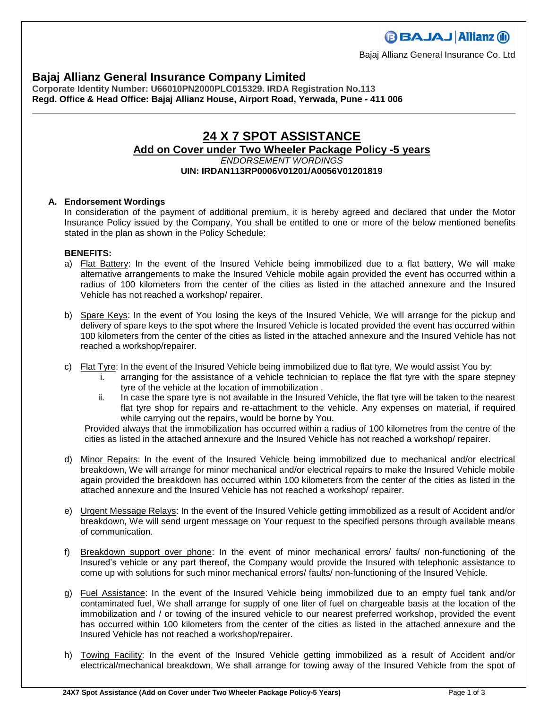### **Bajaj Allianz General Insurance Company Limited**

**Corporate Identity Number: U66010PN2000PLC015329. IRDA Registration No.113 Regd. Office & Head Office: Bajaj Allianz House, Airport Road, Yerwada, Pune - 411 006**

### **24 X 7 SPOT ASSISTANCE Add on Cover under Two Wheeler Package Policy -5 years** *ENDORSEMENT WORDINGS* **UIN: IRDAN113RP0006V01201/A0056V01201819**

### **A. Endorsement Wordings**

In consideration of the payment of additional premium, it is hereby agreed and declared that under the Motor Insurance Policy issued by the Company, You shall be entitled to one or more of the below mentioned benefits stated in the plan as shown in the Policy Schedule:

### **BENEFITS:**

- a) Flat Battery: In the event of the Insured Vehicle being immobilized due to a flat battery, We will make alternative arrangements to make the Insured Vehicle mobile again provided the event has occurred within a radius of 100 kilometers from the center of the cities as listed in the attached annexure and the Insured Vehicle has not reached a workshop/ repairer.
- b) Spare Keys: In the event of You losing the keys of the Insured Vehicle, We will arrange for the pickup and delivery of spare keys to the spot where the Insured Vehicle is located provided the event has occurred within 100 kilometers from the center of the cities as listed in the attached annexure and the Insured Vehicle has not reached a workshop/repairer.
- c) Flat Tyre: In the event of the Insured Vehicle being immobilized due to flat tyre, We would assist You by:
	- i. arranging for the assistance of a vehicle technician to replace the flat tyre with the spare stepney tyre of the vehicle at the location of immobilization .
	- ii. In case the spare tyre is not available in the Insured Vehicle, the flat tyre will be taken to the nearest flat tyre shop for repairs and re-attachment to the vehicle. Any expenses on material, if required while carrying out the repairs, would be borne by You.

Provided always that the immobilization has occurred within a radius of 100 kilometres from the centre of the cities as listed in the attached annexure and the Insured Vehicle has not reached a workshop/ repairer.

- d) Minor Repairs: In the event of the Insured Vehicle being immobilized due to mechanical and/or electrical breakdown, We will arrange for minor mechanical and/or electrical repairs to make the Insured Vehicle mobile again provided the breakdown has occurred within 100 kilometers from the center of the cities as listed in the attached annexure and the Insured Vehicle has not reached a workshop/ repairer.
- e) Urgent Message Relays: In the event of the Insured Vehicle getting immobilized as a result of Accident and/or breakdown, We will send urgent message on Your request to the specified persons through available means of communication.
- f) Breakdown support over phone: In the event of minor mechanical errors/ faults/ non-functioning of the Insured's vehicle or any part thereof, the Company would provide the Insured with telephonic assistance to come up with solutions for such minor mechanical errors/ faults/ non-functioning of the Insured Vehicle.
- g) Fuel Assistance: In the event of the Insured Vehicle being immobilized due to an empty fuel tank and/or contaminated fuel, We shall arrange for supply of one liter of fuel on chargeable basis at the location of the immobilization and / or towing of the insured vehicle to our nearest preferred workshop, provided the event has occurred within 100 kilometers from the center of the cities as listed in the attached annexure and the Insured Vehicle has not reached a workshop/repairer.
- h) Towing Facility: In the event of the Insured Vehicle getting immobilized as a result of Accident and/or electrical/mechanical breakdown, We shall arrange for towing away of the Insured Vehicle from the spot of

# **BBAJAJ Allianz (ii)**

Bajaj Allianz General Insurance Co. Ltd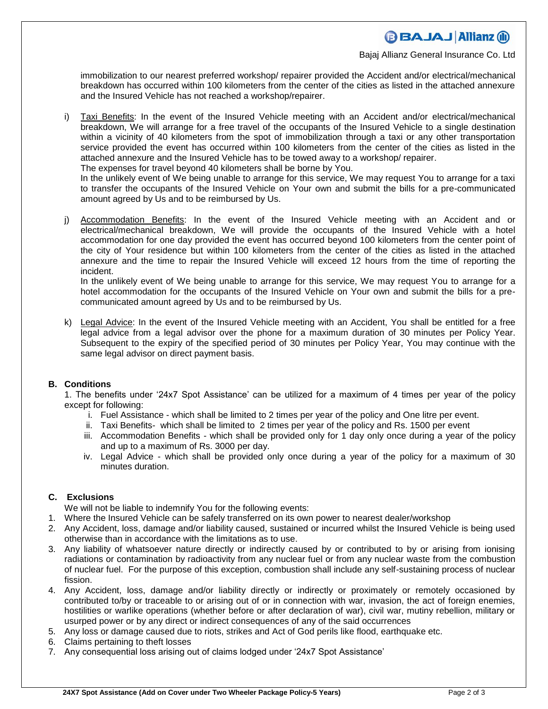# **BBAJAJ Allianz (ii)**

Bajaj Allianz General Insurance Co. Ltd

immobilization to our nearest preferred workshop/ repairer provided the Accident and/or electrical/mechanical breakdown has occurred within 100 kilometers from the center of the cities as listed in the attached annexure and the Insured Vehicle has not reached a workshop/repairer.

i) Taxi Benefits: In the event of the Insured Vehicle meeting with an Accident and/or electrical/mechanical breakdown, We will arrange for a free travel of the occupants of the Insured Vehicle to a single destination within a vicinity of 40 kilometers from the spot of immobilization through a taxi or any other transportation service provided the event has occurred within 100 kilometers from the center of the cities as listed in the attached annexure and the Insured Vehicle has to be towed away to a workshop/ repairer.

The expenses for travel beyond 40 kilometers shall be borne by You.

In the unlikely event of We being unable to arrange for this service, We may request You to arrange for a taxi to transfer the occupants of the Insured Vehicle on Your own and submit the bills for a pre-communicated amount agreed by Us and to be reimbursed by Us.

j) Accommodation Benefits: In the event of the Insured Vehicle meeting with an Accident and or electrical/mechanical breakdown, We will provide the occupants of the Insured Vehicle with a hotel accommodation for one day provided the event has occurred beyond 100 kilometers from the center point of the city of Your residence but within 100 kilometers from the center of the cities as listed in the attached annexure and the time to repair the Insured Vehicle will exceed 12 hours from the time of reporting the incident.

In the unlikely event of We being unable to arrange for this service, We may request You to arrange for a hotel accommodation for the occupants of the Insured Vehicle on Your own and submit the bills for a precommunicated amount agreed by Us and to be reimbursed by Us.

k) Legal Advice: In the event of the Insured Vehicle meeting with an Accident, You shall be entitled for a free legal advice from a legal advisor over the phone for a maximum duration of 30 minutes per Policy Year. Subsequent to the expiry of the specified period of 30 minutes per Policy Year, You may continue with the same legal advisor on direct payment basis.

#### **B. Conditions**

1. The benefits under '24x7 Spot Assistance' can be utilized for a maximum of 4 times per year of the policy except for following:

- i. Fuel Assistance which shall be limited to 2 times per year of the policy and One litre per event.
- ii. Taxi Benefits- which shall be limited to 2 times per year of the policy and Rs. 1500 per event
- iii. Accommodation Benefits which shall be provided only for 1 day only once during a year of the policy and up to a maximum of Rs. 3000 per day.
- iv. Legal Advice which shall be provided only once during a year of the policy for a maximum of 30 minutes duration.

#### **C. Exclusions**

We will not be liable to indemnify You for the following events:

- 1. Where the Insured Vehicle can be safely transferred on its own power to nearest dealer/workshop
- 2. Any Accident, loss, damage and/or liability caused, sustained or incurred whilst the Insured Vehicle is being used otherwise than in accordance with the limitations as to use.
- 3. Any liability of whatsoever nature directly or indirectly caused by or contributed to by or arising from ionising radiations or contamination by radioactivity from any nuclear fuel or from any nuclear waste from the combustion of nuclear fuel. For the purpose of this exception, combustion shall include any self-sustaining process of nuclear fission.
- 4. Any Accident, loss, damage and/or liability directly or indirectly or proximately or remotely occasioned by contributed to/by or traceable to or arising out of or in connection with war, invasion, the act of foreign enemies, hostilities or warlike operations (whether before or after declaration of war), civil war, mutiny rebellion, military or usurped power or by any direct or indirect consequences of any of the said occurrences
- 5. Any loss or damage caused due to riots, strikes and Act of God perils like flood, earthquake etc.
- 6. Claims pertaining to theft losses
- 7. Any consequential loss arising out of claims lodged under '24x7 Spot Assistance'